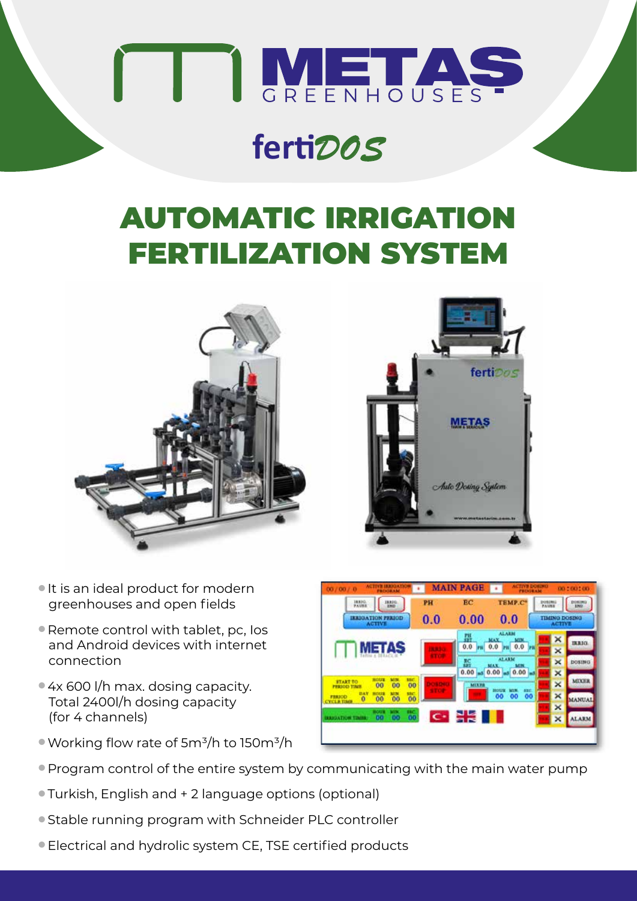

## **ferti***DOS*

## AUTOMATIC IRRIGATION FERTILIZATION SYSTEM





- It is an ideal product for modern greenhouses and open fields
- Remote control with tablet, pc, los and Android devices with internet connection
- 4x 600 l/h max. dosing capacity. Total 2400l/h dosing capacity (for 4 channels)
- $\bullet$  Working flow rate of 5m<sup>3</sup>/h to 150m<sup>3</sup>/h
- <sup>l</sup>Program control of the entire system by communicating with the main water pump
- **Turkish, English and + 2 language options (optional)**
- Stable running program with Schneider PLC controller
- l Electrical and hydrolic system CE, TSE certified products

| 18,810.<br><b>JARIG</b><br><b>FAUSS</b><br><b>XHD</b>                                                | PH           | <b>BC</b><br>TEMP.C*                    | <b>DOSDNU</b><br>PAUSE                | DOBING<br><b>AWD</b> |
|------------------------------------------------------------------------------------------------------|--------------|-----------------------------------------|---------------------------------------|----------------------|
| IREJOATION PERIOD<br><b>ACTIVE</b>                                                                   | 0.0          | 0.00<br>0.0                             | <b>TIMING DOSING</b><br><b>ACTIVE</b> |                      |
|                                                                                                      |              | <b>ALARM</b><br>翮<br><b>MIDE</b><br>MAX | ×                                     | <b>IRRIG</b>         |
| <b>METAS</b>                                                                                         | <b>STATE</b> | $m$ 0.0<br>0.0<br>0.0<br>m              | ×                                     |                      |
|                                                                                                      |              | <b>ALARM</b><br>監<br>MIN<br>MAX         | ×                                     | DOSING               |
| HOUS<br><b>MTN</b><br><b>MC</b>                                                                      |              | 0.00<br>0.00<br>0.00                    | ×                                     |                      |
| <b>START TO</b><br>00<br>00<br><b>PERIODI TIME</b>                                                   | 00           | <b>MIXZB</b><br>630<br>Hotel            | ×                                     | <b>MIXER</b>         |
| 初み室<br><b>MTN</b><br>\$347<br>HOUSE<br><b>FEEJOD</b><br>00<br>00<br>$\mathbf o$<br><b>CYCLE TIME</b> | 00           | 00<br>00<br>00                          | ×                                     | <b>MANUAL</b>        |
| œ<br><b>ROLLS</b><br>т.                                                                              |              |                                         | ×                                     |                      |
| 00<br>00<br><b>RADIATION TIMES</b>                                                                   | 00           | $\sim$ 23                               | ×                                     | <b>ALARM</b>         |